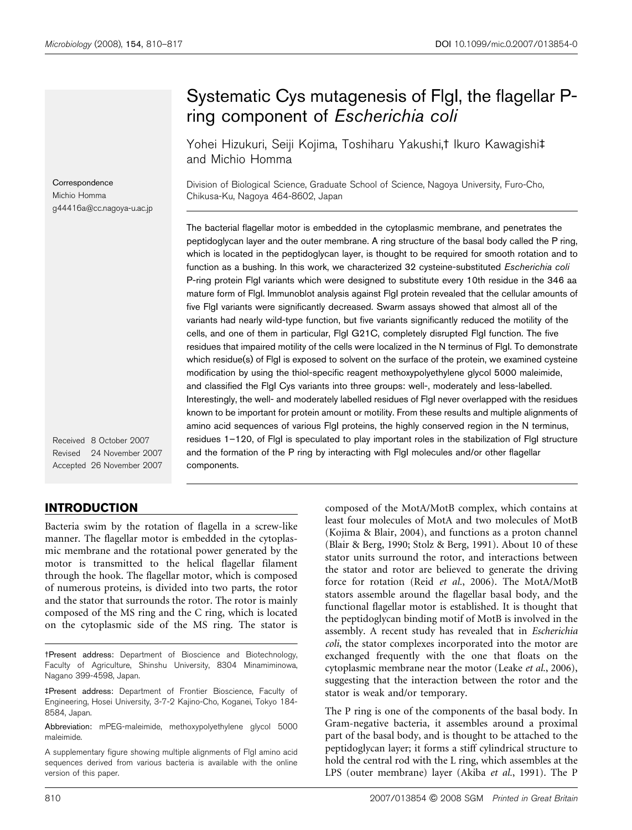# Systematic Cys mutagenesis of FlgI, the flagellar Pring component of Escherichia coli

Yohei Hizukuri, Seiji Kojima, Toshiharu Yakushi,t Ikuro Kawagishi‡ and Michio Homma

Division of Biological Science, Graduate School of Science, Nagoya University, Furo-Cho, Chikusa-Ku, Nagoya 464-8602, Japan

The bacterial flagellar motor is embedded in the cytoplasmic membrane, and penetrates the peptidoglycan layer and the outer membrane. A ring structure of the basal body called the P ring, which is located in the peptidoglycan layer, is thought to be required for smooth rotation and to function as a bushing. In this work, we characterized 32 cysteine-substituted Escherichia coli P-ring protein FlgI variants which were designed to substitute every 10th residue in the 346 aa mature form of FlgI. Immunoblot analysis against FlgI protein revealed that the cellular amounts of five FlgI variants were significantly decreased. Swarm assays showed that almost all of the variants had nearly wild-type function, but five variants significantly reduced the motility of the cells, and one of them in particular, FlgI G21C, completely disrupted FlgI function. The five residues that impaired motility of the cells were localized in the N terminus of FlgI. To demonstrate which residue(s) of FlgI is exposed to solvent on the surface of the protein, we examined cysteine modification by using the thiol-specific reagent methoxypolyethylene glycol 5000 maleimide, and classified the FlgI Cys variants into three groups: well-, moderately and less-labelled. Interestingly, the well- and moderately labelled residues of FlgI never overlapped with the residues known to be important for protein amount or motility. From these results and multiple alignments of amino acid sequences of various FlgI proteins, the highly conserved region in the N terminus, residues 1–120, of FlgI is speculated to play important roles in the stabilization of FlgI structure and the formation of the P ring by interacting with FlgI molecules and/or other flagellar components.

**Correspondence** Michio Homma g44416a@cc.nagoya-u.ac.jp

Received 8 October 2007 Revised 24 November 2007 Accepted 26 November 2007

# INTRODUCTION

Bacteria swim by the rotation of flagella in a screw-like manner. The flagellar motor is embedded in the cytoplasmic membrane and the rotational power generated by the motor is transmitted to the helical flagellar filament through the hook. The flagellar motor, which is composed of numerous proteins, is divided into two parts, the rotor and the stator that surrounds the rotor. The rotor is mainly composed of the MS ring and the C ring, which is located on the cytoplasmic side of the MS ring. The stator is

3Present address: Department of Bioscience and Biotechnology, Faculty of Agriculture, Shinshu University, 8304 Minamiminowa, Nagano 399-4598, Japan.

4Present address: Department of Frontier Bioscience, Faculty of Engineering, Hosei University, 3-7-2 Kajino-Cho, Koganei, Tokyo 184- 8584, Japan.

Abbreviation: mPEG-maleimide, methoxypolyethylene glycol 5000 maleimide.

A supplementary figure showing multiple alignments of FlgI amino acid sequences derived from various bacteria is available with the online version of this paper.

composed of the MotA/MotB complex, which contains at least four molecules of MotA and two molecules of MotB (Kojima & Blair, 2004), and functions as a proton channel (Blair & Berg, 1990; Stolz & Berg, 1991). About 10 of these stator units surround the rotor, and interactions between the stator and rotor are believed to generate the driving force for rotation (Reid et al., 2006). The MotA/MotB stators assemble around the flagellar basal body, and the functional flagellar motor is established. It is thought that the peptidoglycan binding motif of MotB is involved in the assembly. A recent study has revealed that in Escherichia coli, the stator complexes incorporated into the motor are exchanged frequently with the one that floats on the cytoplasmic membrane near the motor (Leake et al., 2006), suggesting that the interaction between the rotor and the stator is weak and/or temporary.

The P ring is one of the components of the basal body. In Gram-negative bacteria, it assembles around a proximal part of the basal body, and is thought to be attached to the peptidoglycan layer; it forms a stiff cylindrical structure to hold the central rod with the L ring, which assembles at the LPS (outer membrane) layer (Akiba et al., 1991). The P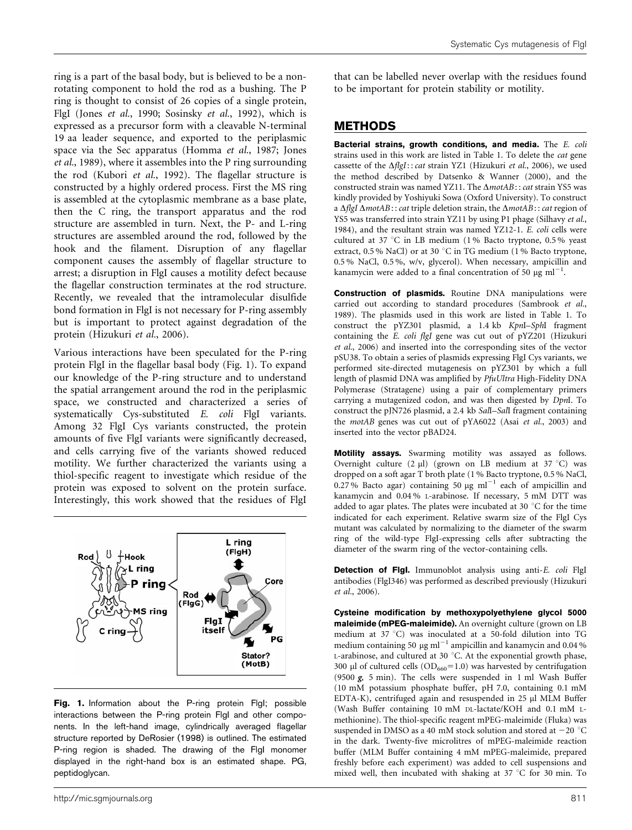ring is a part of the basal body, but is believed to be a nonrotating component to hold the rod as a bushing. The P ring is thought to consist of 26 copies of a single protein, FlgI (Jones et al., 1990; Sosinsky et al., 1992), which is expressed as a precursor form with a cleavable N-terminal 19 aa leader sequence, and exported to the periplasmic space via the Sec apparatus (Homma et al., 1987; Jones et al., 1989), where it assembles into the P ring surrounding the rod (Kubori et al., 1992). The flagellar structure is constructed by a highly ordered process. First the MS ring is assembled at the cytoplasmic membrane as a base plate, then the C ring, the transport apparatus and the rod structure are assembled in turn. Next, the P- and L-ring structures are assembled around the rod, followed by the hook and the filament. Disruption of any flagellar component causes the assembly of flagellar structure to arrest; a disruption in FlgI causes a motility defect because the flagellar construction terminates at the rod structure. Recently, we revealed that the intramolecular disulfide bond formation in FlgI is not necessary for P-ring assembly but is important to protect against degradation of the protein (Hizukuri et al., 2006).

Various interactions have been speculated for the P-ring protein FlgI in the flagellar basal body (Fig. 1). To expand our knowledge of the P-ring structure and to understand the spatial arrangement around the rod in the periplasmic space, we constructed and characterized a series of systematically Cys-substituted E. coli FlgI variants. Among 32 FlgI Cys variants constructed, the protein amounts of five FlgI variants were significantly decreased, and cells carrying five of the variants showed reduced motility. We further characterized the variants using a thiol-specific reagent to investigate which residue of the protein was exposed to solvent on the protein surface. Interestingly, this work showed that the residues of FlgI



Fig. 1. Information about the P-ring protein FlgI; possible interactions between the P-ring protein FlgI and other components. In the left-hand image, cylindrically averaged flagellar structure reported by DeRosier (1998) is outlined. The estimated P-ring region is shaded. The drawing of the FlgI monomer displayed in the right-hand box is an estimated shape. PG, peptidoglycan.

that can be labelled never overlap with the residues found to be important for protein stability or motility.

# METHODS

Bacterial strains, growth conditions, and media. The E. coli strains used in this work are listed in Table 1. To delete the cat gene cassette of the  $\Delta f$ lgI:: cat strain YZ1 (Hizukuri et al., 2006), we used the method described by Datsenko & Wanner (2000), and the constructed strain was named YZ11. The  $\Delta m$ otAB :: cat strain YS5 was kindly provided by Yoshiyuki Sowa (Oxford University). To construct a  $\Delta f$ lgI  $\Delta m$ otAB : : cat triple deletion strain, the  $\Delta m$ otAB : : cat region of YS5 was transferred into strain YZ11 by using P1 phage (Silhavy et al., 1984), and the resultant strain was named YZ12-1. E. coli cells were cultured at 37 °C in LB medium (1% Bacto tryptone, 0.5% yeast extract,  $0.5\%$  NaCl) or at 30 °C in TG medium (1% Bacto tryptone, 0.5 % NaCl, 0.5 %, w/v, glycerol). When necessary, ampicillin and kanamycin were added to a final concentration of 50  $\mu$ g ml<sup>-1</sup>.

Construction of plasmids. Routine DNA manipulations were carried out according to standard procedures (Sambrook et al., 1989). The plasmids used in this work are listed in Table 1. To construct the pYZ301 plasmid, a 1.4 kb KpnI–SphI fragment containing the E. coli flgI gene was cut out of pYZ201 (Hizukuri et al., 2006) and inserted into the corresponding sites of the vector pSU38. To obtain a series of plasmids expressing FlgI Cys variants, we performed site-directed mutagenesis on pYZ301 by which a full length of plasmid DNA was amplified by PfuUltra High-Fidelity DNA Polymerase (Stratagene) using a pair of complementary primers carrying a mutagenized codon, and was then digested by DpnI. To construct the pJN726 plasmid, a 2.4 kb SalI–SalI fragment containing the motAB genes was cut out of pYA6022 (Asai et al., 2003) and inserted into the vector pBAD24.

Motility assays. Swarming motility was assayed as follows. Overnight culture  $(2 \mu l)$  (grown on LB medium at 37 °C) was dropped on a soft agar T broth plate (1 % Bacto tryptone, 0.5 % NaCl, 0.27% Bacto agar) containing 50  $\mu$ g ml<sup>-1</sup> each of ampicillin and kanamycin and 0.04 % L-arabinose. If necessary, 5 mM DTT was added to agar plates. The plates were incubated at 30  $\degree$ C for the time indicated for each experiment. Relative swarm size of the FlgI Cys mutant was calculated by normalizing to the diameter of the swarm ring of the wild-type FlgI-expressing cells after subtracting the diameter of the swarm ring of the vector-containing cells.

Detection of Figi. Immunoblot analysis using anti-E. coli Figi antibodies (FlgI346) was performed as described previously (Hizukuri et al., 2006).

Cysteine modification by methoxypolyethylene glycol 5000 maleimide (mPEG-maleimide). An overnight culture (grown on LB medium at  $37^{\circ}$ C) was inoculated at a 50-fold dilution into TG medium containing 50  $\mu$ g ml<sup>-1</sup> ampicillin and kanamycin and 0.04 % L-arabinose, and cultured at 30  $^{\circ}$ C. At the exponential growth phase, 300 µl of cultured cells  $OD_{660} = 1.0$ ) was harvested by centrifugation (9500 *g*, 5 min). The cells were suspended in 1 ml Wash Buffer (10 mM potassium phosphate buffer, pH 7.0, containing 0.1 mM  $EDTA-K$ ), centrifuged again and resuspended in 25  $\mu$ l MLM Buffer (Wash Buffer containing 10 mM DL-lactate/KOH and 0.1 mM Lmethionine). The thiol-specific reagent mPEG-maleimide (Fluka) was suspended in DMSO as a 40 mM stock solution and stored at  $-20$  °C in the dark. Twenty-five microlitres of mPEG-maleimide reaction buffer (MLM Buffer containing 4 mM mPEG-maleimide, prepared freshly before each experiment) was added to cell suspensions and mixed well, then incubated with shaking at  $37 \degree C$  for 30 min. To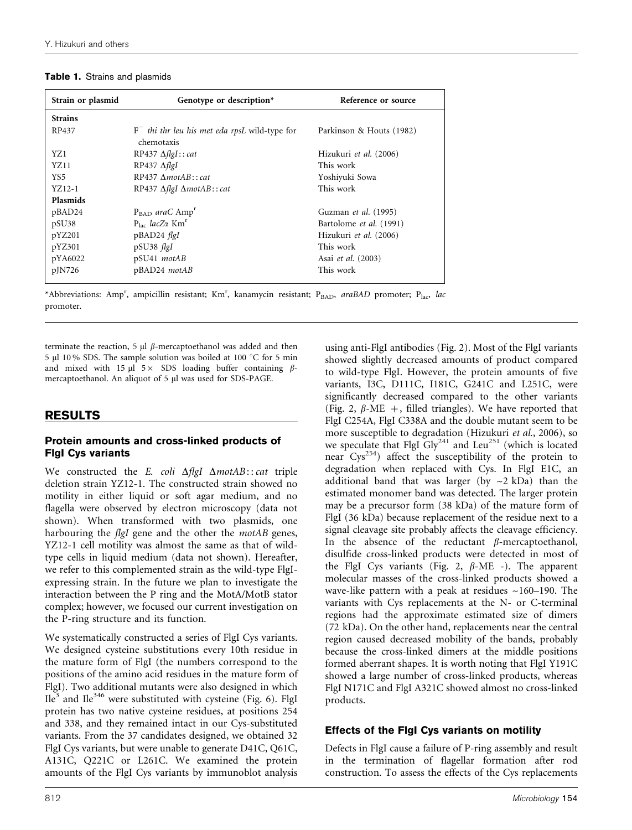| Strain or plasmid | Genotype or description*                                       | Reference or source      |
|-------------------|----------------------------------------------------------------|--------------------------|
| <b>Strains</b>    |                                                                |                          |
| RP437             | $F^-$ thi thr leu his met eda rpsL wild-type for<br>chemotaxis | Parkinson & Houts (1982) |
| YZ1               | $RP437 \Delta\text{flg}I$ : cat                                | Hizukuri et al. (2006)   |
| YZ11              | $RP437$ $\Delta$ <i>flgI</i>                                   | This work                |
| YS5               | $RP437$ $AmotAB$ :: cat                                        | Yoshiyuki Sowa           |
| $YZ12-1$          | RP437 $\Delta$ flgI $\Delta$ motAB:: cat                       | This work                |
| Plasmids          |                                                                |                          |
| pBAD24            | $P_{\text{BAD}}$ araC Amp <sup>r</sup>                         | Guzman et al. (1995)     |
| pSU38             | $P_{\text{loc}}$ lacZ $\alpha$ Km <sup>r</sup>                 | Bartolome et al. (1991)  |
| pYZ201            | pBAD24 flgI                                                    | Hizukuri et al. (2006)   |
| pYZ301            | pSU38 flgI                                                     | This work                |
| pYA6022           | pSU41 motAB                                                    | Asai et al. (2003)       |
| $p$ JN726         | pBAD24 motAB                                                   | This work                |

#### Table 1. Strains and plasmids

\*Abbreviations: Amp<sup>r</sup>, ampicillin resistant; Km<sup>r</sup>, kanamycin resistant; P<sub>BAD</sub>, araBAD promoter; P<sub>lac</sub>, lac promoter.

terminate the reaction, 5  $\mu$ l  $\beta$ -mercaptoethanol was added and then 5 µl 10 % SDS. The sample solution was boiled at 100  $^{\circ}$ C for 5 min and mixed with 15  $\mu$  5  $\times$  SDS loading buffer containing  $\beta$ mercaptoethanol. An aliquot of 5 µl was used for SDS-PAGE.

# RESULTS

#### Protein amounts and cross-linked products of FlgI Cys variants

We constructed the E. coli  $\Delta f$ lgI  $\Delta m$ otAB :: cat triple deletion strain YZ12-1. The constructed strain showed no motility in either liquid or soft agar medium, and no flagella were observed by electron microscopy (data not shown). When transformed with two plasmids, one harbouring the *flgI* gene and the other the *motAB* genes, YZ12-1 cell motility was almost the same as that of wildtype cells in liquid medium (data not shown). Hereafter, we refer to this complemented strain as the wild-type FlgIexpressing strain. In the future we plan to investigate the interaction between the P ring and the MotA/MotB stator complex; however, we focused our current investigation on the P-ring structure and its function.

We systematically constructed a series of FlgI Cys variants. We designed cysteine substitutions every 10th residue in the mature form of FlgI (the numbers correspond to the positions of the amino acid residues in the mature form of FlgI). Two additional mutants were also designed in which  $Ile<sup>3</sup>$  and  $Ile<sup>346</sup>$  were substituted with cysteine (Fig. 6). FlgI protein has two native cysteine residues, at positions 254 and 338, and they remained intact in our Cys-substituted variants. From the 37 candidates designed, we obtained 32 FlgI Cys variants, but were unable to generate D41C, Q61C, A131C, Q221C or L261C. We examined the protein amounts of the FlgI Cys variants by immunoblot analysis

using anti-FlgI antibodies (Fig. 2). Most of the FlgI variants showed slightly decreased amounts of product compared to wild-type FlgI. However, the protein amounts of five variants, I3C, D111C, I181C, G241C and L251C, were significantly decreased compared to the other variants (Fig. 2,  $\beta$ -ME +, filled triangles). We have reported that FlgI C254A, FlgI C338A and the double mutant seem to be more susceptible to degradation (Hizukuri et al., 2006), so we speculate that FlgI  $\text{Gly}^{241}$  and Leu<sup>251</sup> (which is located near  $Cys^{254}$ ) affect the susceptibility of the protein to degradation when replaced with Cys. In FlgI E1C, an additional band that was larger (by  $\sim$ 2 kDa) than the estimated monomer band was detected. The larger protein may be a precursor form (38 kDa) of the mature form of FlgI (36 kDa) because replacement of the residue next to a signal cleavage site probably affects the cleavage efficiency. In the absence of the reductant  $\beta$ -mercaptoethanol, disulfide cross-linked products were detected in most of the FlgI Cys variants (Fig. 2,  $\beta$ -ME -). The apparent molecular masses of the cross-linked products showed a wave-like pattern with a peak at residues  $\sim$ 160–190. The variants with Cys replacements at the N- or C-terminal regions had the approximate estimated size of dimers (72 kDa). On the other hand, replacements near the central region caused decreased mobility of the bands, probably because the cross-linked dimers at the middle positions formed aberrant shapes. It is worth noting that FlgI Y191C showed a large number of cross-linked products, whereas FlgI N171C and FlgI A321C showed almost no cross-linked products.

#### Effects of the FlgI Cys variants on motility

Defects in FlgI cause a failure of P-ring assembly and result in the termination of flagellar formation after rod construction. To assess the effects of the Cys replacements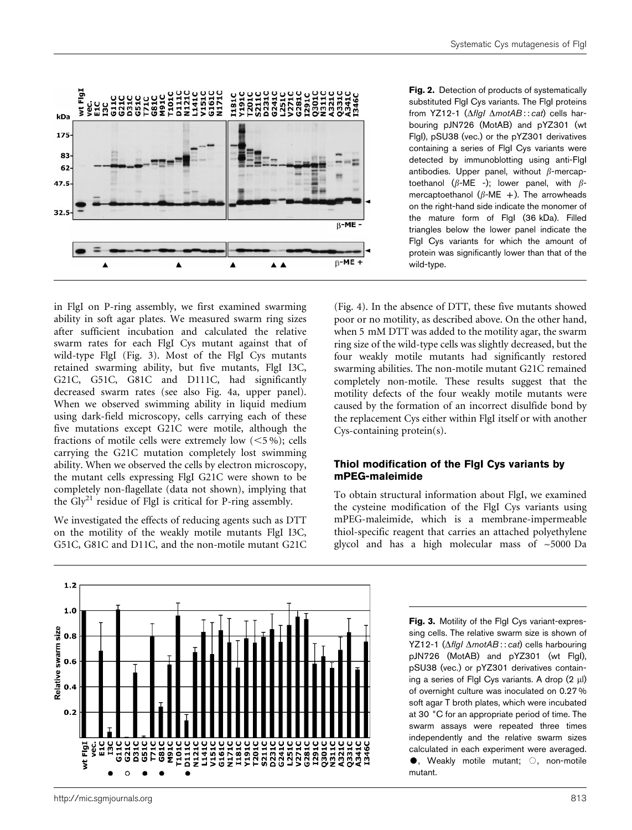

in FlgI on P-ring assembly, we first examined swarming ability in soft agar plates. We measured swarm ring sizes after sufficient incubation and calculated the relative swarm rates for each FlgI Cys mutant against that of wild-type FlgI (Fig. 3). Most of the FlgI Cys mutants retained swarming ability, but five mutants, FlgI I3C, G21C, G51C, G81C and D111C, had significantly decreased swarm rates (see also Fig. 4a, upper panel). When we observed swimming ability in liquid medium using dark-field microscopy, cells carrying each of these five mutations except G21C were motile, although the fractions of motile cells were extremely low  $(<5\%)$ ; cells carrying the G21C mutation completely lost swimming ability. When we observed the cells by electron microscopy, the mutant cells expressing FlgI G21C were shown to be completely non-flagellate (data not shown), implying that the Gly<sup>21</sup> residue of FlgI is critical for P-ring assembly.

We investigated the effects of reducing agents such as DTT on the motility of the weakly motile mutants FlgI I3C, G51C, G81C and D11C, and the non-motile mutant G21C Fig. 2. Detection of products of systematically substituted FlgI Cys variants. The FlgI proteins from YZ12-1 ( $\Delta$ flgl  $\Delta$ motAB : : cat) cells harbouring pJN726 (MotAB) and pYZ301 (wt FlgI), pSU38 (vec.) or the pYZ301 derivatives containing a series of FlgI Cys variants were detected by immunoblotting using anti-FlgI antibodies. Upper panel, without  $\beta$ -mercaptoethanol ( $\beta$ -ME -); lower panel, with  $\beta$ mercaptoethanol ( $\beta$ -ME +). The arrowheads on the right-hand side indicate the monomer of the mature form of FlgI (36 kDa). Filled triangles below the lower panel indicate the FlgI Cys variants for which the amount of protein was significantly lower than that of the wild-type.

(Fig. 4). In the absence of DTT, these five mutants showed poor or no motility, as described above. On the other hand, when 5 mM DTT was added to the motility agar, the swarm ring size of the wild-type cells was slightly decreased, but the four weakly motile mutants had significantly restored swarming abilities. The non-motile mutant G21C remained completely non-motile. These results suggest that the motility defects of the four weakly motile mutants were caused by the formation of an incorrect disulfide bond by the replacement Cys either within FlgI itself or with another Cys-containing protein(s).

#### Thiol modification of the FlgI Cys variants by mPEG-maleimide

To obtain structural information about FlgI, we examined the cysteine modification of the FlgI Cys variants using mPEG-maleimide, which is a membrane-impermeable thiol-specific reagent that carries an attached polyethylene glycol and has a high molecular mass of  $\sim$  5000 Da

> Fig. 3. Motility of the FlgI Cys variant-expressing cells. The relative swarm size is shown of YZ12-1 ( $\Delta$ flgI  $\Delta$ motAB : : cat) cells harbouring pJN726 (MotAB) and pYZ301 (wt FlgI), pSU38 (vec.) or pYZ301 derivatives containing a series of FlgI Cys variants. A drop  $(2 \mu l)$ of overnight culture was inoculated on 0.27 % soft agar T broth plates, which were incubated at 30 °C for an appropriate period of time. The swarm assays were repeated three times independently and the relative swarm sizes calculated in each experiment were averaged.  $\bullet$ , Weakly motile mutant;  $\circ$ , non-motile mutant.

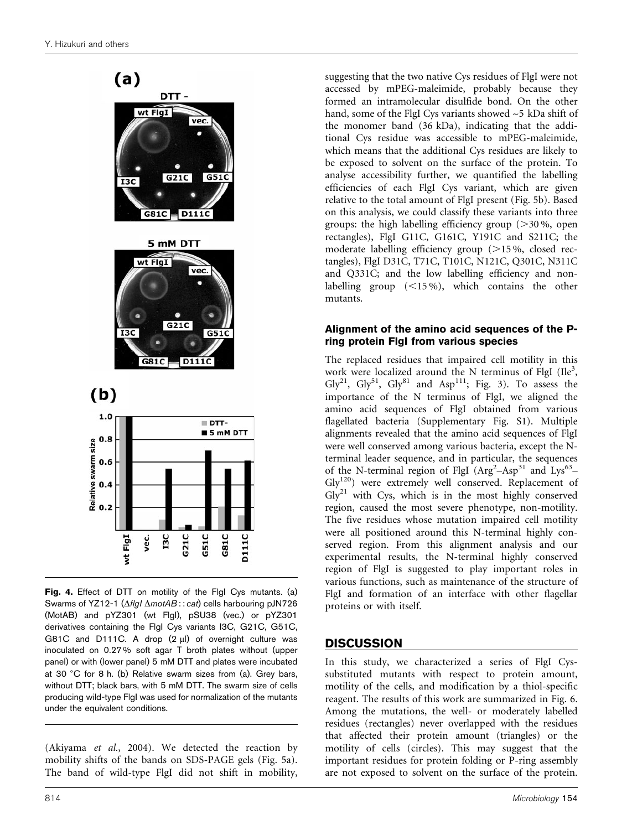

Fig. 4. Effect of DTT on motility of the FigI Cys mutants. (a) Swarms of YZ12-1 ( $\Delta$ flgI  $\Delta$ motAB : : cat) cells harbouring pJN726 (MotAB) and pYZ301 (wt FlgI), pSU38 (vec.) or pYZ301 derivatives containing the FlgI Cys variants I3C, G21C, G51C, G81C and D111C. A drop  $(2 \mu l)$  of overnight culture was inoculated on 0.27 % soft agar T broth plates without (upper panel) or with (lower panel) 5 mM DTT and plates were incubated at 30 °C for 8 h. (b) Relative swarm sizes from (a). Grey bars, without DTT; black bars, with 5 mM DTT. The swarm size of cells producing wild-type FlgI was used for normalization of the mutants under the equivalent conditions.

(Akiyama et al., 2004). We detected the reaction by mobility shifts of the bands on SDS-PAGE gels (Fig. 5a). The band of wild-type FlgI did not shift in mobility,

suggesting that the two native Cys residues of FlgI were not accessed by mPEG-maleimide, probably because they formed an intramolecular disulfide bond. On the other hand, some of the FlgI Cys variants showed ~5 kDa shift of the monomer band (36 kDa), indicating that the additional Cys residue was accessible to mPEG-maleimide, which means that the additional Cys residues are likely to be exposed to solvent on the surface of the protein. To analyse accessibility further, we quantified the labelling efficiencies of each FlgI Cys variant, which are given relative to the total amount of FlgI present (Fig. 5b). Based on this analysis, we could classify these variants into three groups: the high labelling efficiency group  $(>= 30\%$ , open rectangles), FlgI G11C, G161C, Y191C and S211C; the moderate labelling efficiency group  $(>15\% ,$  closed rectangles), FlgI D31C, T71C, T101C, N121C, Q301C, N311C and Q331C; and the low labelling efficiency and nonlabelling group  $(<15\%)$ , which contains the other mutants.

#### Alignment of the amino acid sequences of the Pring protein FlgI from various species

The replaced residues that impaired cell motility in this work were localized around the N terminus of FlgI (Ile<sup>3</sup>, Gly<sup>21</sup>, Gly<sup>51</sup>, Gly<sup>81</sup> and Asp<sup>111</sup>; Fig. 3). To assess the importance of the N terminus of FlgI, we aligned the amino acid sequences of FlgI obtained from various flagellated bacteria (Supplementary Fig. S1). Multiple alignments revealed that the amino acid sequences of FlgI were well conserved among various bacteria, except the Nterminal leader sequence, and in particular, the sequences of the N-terminal region of FlgI (Arg<sup>2</sup>-Asp<sup>31</sup> and Lys<sup>63</sup>-Gly<sup>120</sup>) were extremely well conserved. Replacement of  $Gly<sup>21</sup>$  with Cys, which is in the most highly conserved region, caused the most severe phenotype, non-motility. The five residues whose mutation impaired cell motility were all positioned around this N-terminal highly conserved region. From this alignment analysis and our experimental results, the N-terminal highly conserved region of FlgI is suggested to play important roles in various functions, such as maintenance of the structure of FlgI and formation of an interface with other flagellar proteins or with itself.

# **DISCUSSION**

In this study, we characterized a series of FlgI Cyssubstituted mutants with respect to protein amount, motility of the cells, and modification by a thiol-specific reagent. The results of this work are summarized in Fig. 6. Among the mutations, the well- or moderately labelled residues (rectangles) never overlapped with the residues that affected their protein amount (triangles) or the motility of cells (circles). This may suggest that the important residues for protein folding or P-ring assembly are not exposed to solvent on the surface of the protein.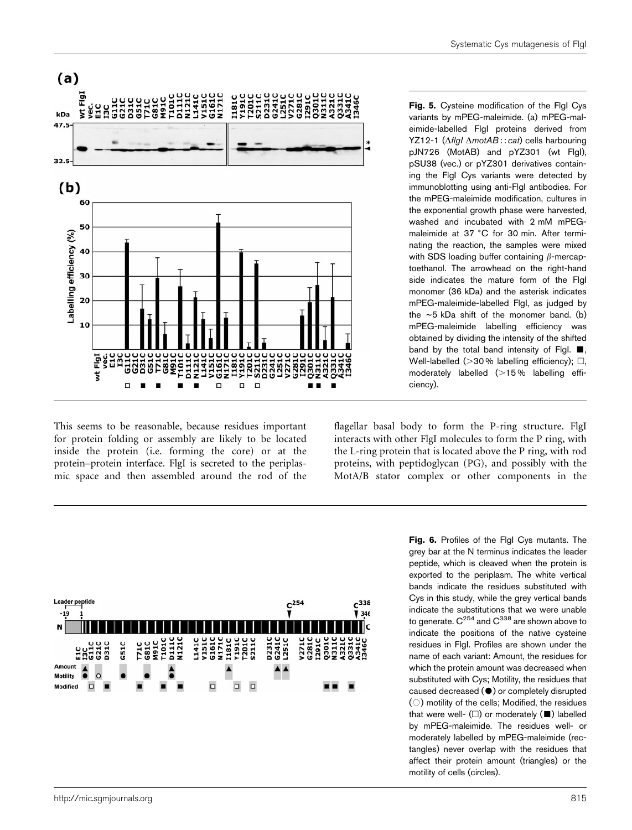

Fig. 5. Cysteine modification of the FlgI Cys variants by mPEG-maleimide. (a) mPEG-maleimide-labelled FlgI proteins derived from YZ12-1 ( $\Delta$ flgI  $\Delta$ motAB : : cat) cells harbouring pJN726 (MotAB) and pYZ301 (wt FlgI), pSU38 (vec.) or pYZ301 derivatives containing the FlgI Cys variants were detected by immunoblotting using anti-FlgI antibodies. For the mPEG-maleimide modification, cultures in the exponential growth phase were harvested, washed and incubated with 2 mM mPEGmaleimide at 37 °C for 30 min. After terminating the reaction, the samples were mixed with SDS loading buffer containing  $\beta$ -mercaptoethanol. The arrowhead on the right-hand side indicates the mature form of the FlgI monomer (36 kDa) and the asterisk indicates mPEG-maleimide-labelled FlgI, as judged by the ~5 kDa shift of the monomer band. (b) mPEG-maleimide labelling efficiency was obtained by dividing the intensity of the shifted band by the total band intensity of FlgI.  $\blacksquare$ , Well-labelled ( $>$ 30% labelling efficiency);  $\Box$ , moderately labelled  $(>15\%$  labelling efficiency).

This seems to be reasonable, because residues important for protein folding or assembly are likely to be located inside the protein (i.e. forming the core) or at the protein–protein interface. FlgI is secreted to the periplasmic space and then assembled around the rod of the flagellar basal body to form the P-ring structure. FlgI interacts with other FlgI molecules to form the P ring, with the L-ring protein that is located above the P ring, with rod proteins, with peptidoglycan (PG), and possibly with the MotA/B stator complex or other components in the



Fig. 6. Profiles of the FlgI Cys mutants. The grey bar at the N terminus indicates the leader peptide, which is cleaved when the protein is exported to the periplasm. The white vertical bands indicate the residues substituted with Cys in this study, while the grey vertical bands indicate the substitutions that we were unable to generate.  $C^{254}$  and  $C^{338}$  are shown above to indicate the positions of the native cysteine residues in FlgI. Profiles are shown under the name of each variant: Amount, the residues for which the protein amount was decreased when substituted with Cys; Motility, the residues that caused decreased  $($ <sup>o</sup>) or completely disrupted  $( \circ )$  motility of the cells; Modified, the residues that were well-  $(\Box)$  or moderately  $(\blacksquare)$  labelled by mPEG-maleimide. The residues well- or moderately labelled by mPEG-maleimide (rectangles) never overlap with the residues that affect their protein amount (triangles) or the motility of cells (circles).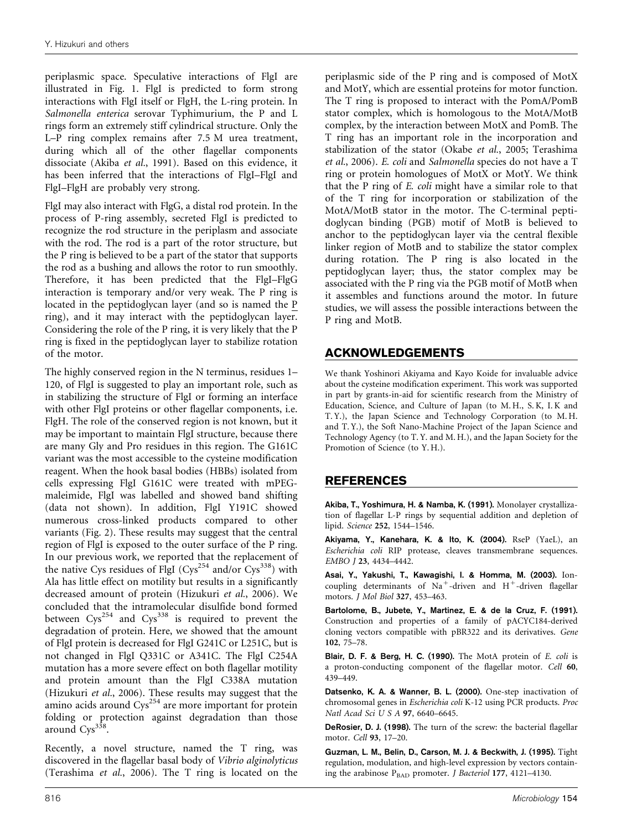periplasmic space. Speculative interactions of FlgI are illustrated in Fig. 1. FlgI is predicted to form strong interactions with FlgI itself or FlgH, the L-ring protein. In Salmonella enterica serovar Typhimurium, the P and L rings form an extremely stiff cylindrical structure. Only the L–P ring complex remains after 7.5 M urea treatment, during which all of the other flagellar components dissociate (Akiba et al., 1991). Based on this evidence, it has been inferred that the interactions of FlgI–FlgI and FlgI–FlgH are probably very strong.

FlgI may also interact with FlgG, a distal rod protein. In the process of P-ring assembly, secreted FlgI is predicted to recognize the rod structure in the periplasm and associate with the rod. The rod is a part of the rotor structure, but the P ring is believed to be a part of the stator that supports the rod as a bushing and allows the rotor to run smoothly. Therefore, it has been predicted that the FlgI–FlgG interaction is temporary and/or very weak. The P ring is located in the peptidoglycan layer (and so is named the P ring), and it may interact with the peptidoglycan layer. Considering the role of the P ring, it is very likely that the P ring is fixed in the peptidoglycan layer to stabilize rotation of the motor.

The highly conserved region in the N terminus, residues 1– 120, of FlgI is suggested to play an important role, such as in stabilizing the structure of FlgI or forming an interface with other FlgI proteins or other flagellar components, i.e. FlgH. The role of the conserved region is not known, but it may be important to maintain FlgI structure, because there are many Gly and Pro residues in this region. The G161C variant was the most accessible to the cysteine modification reagent. When the hook basal bodies (HBBs) isolated from cells expressing FlgI G161C were treated with mPEGmaleimide, FlgI was labelled and showed band shifting (data not shown). In addition, FlgI Y191C showed numerous cross-linked products compared to other variants (Fig. 2). These results may suggest that the central region of FlgI is exposed to the outer surface of the P ring. In our previous work, we reported that the replacement of the native Cys residues of FlgI (Cys<sup>254</sup> and/or Cys<sup>338</sup>) with Ala has little effect on motility but results in a significantly decreased amount of protein (Hizukuri et al., 2006). We concluded that the intramolecular disulfide bond formed between Cys<sup>254</sup> and Cys<sup>338</sup> is required to prevent the degradation of protein. Here, we showed that the amount of FlgI protein is decreased for FlgI G241C or L251C, but is not changed in FlgI Q331C or A341C. The FlgI C254A mutation has a more severe effect on both flagellar motility and protein amount than the FlgI C338A mutation (Hizukuri et al., 2006). These results may suggest that the amino acids around Cys<sup>254</sup> are more important for protein folding or protection against degradation than those around  $Cys^{338}$ .

Recently, a novel structure, named the T ring, was discovered in the flagellar basal body of Vibrio alginolyticus (Terashima et al., 2006). The T ring is located on the

periplasmic side of the P ring and is composed of MotX and MotY, which are essential proteins for motor function. The T ring is proposed to interact with the PomA/PomB stator complex, which is homologous to the MotA/MotB complex, by the interaction between MotX and PomB. The T ring has an important role in the incorporation and stabilization of the stator (Okabe et al., 2005; Terashima et al., 2006). E. coli and Salmonella species do not have a T ring or protein homologues of MotX or MotY. We think that the P ring of E. coli might have a similar role to that of the T ring for incorporation or stabilization of the MotA/MotB stator in the motor. The C-terminal peptidoglycan binding (PGB) motif of MotB is believed to anchor to the peptidoglycan layer via the central flexible linker region of MotB and to stabilize the stator complex during rotation. The P ring is also located in the peptidoglycan layer; thus, the stator complex may be associated with the P ring via the PGB motif of MotB when it assembles and functions around the motor. In future studies, we will assess the possible interactions between the P ring and MotB.

# ACKNOWLEDGEMENTS

We thank Yoshinori Akiyama and Kayo Koide for invaluable advice about the cysteine modification experiment. This work was supported in part by grants-in-aid for scientific research from the Ministry of Education, Science, and Culture of Japan (to M. H., S. K, I. K and T. Y.), the Japan Science and Technology Corporation (to M. H. and T. Y.), the Soft Nano-Machine Project of the Japan Science and Technology Agency (to T. Y. and M. H.), and the Japan Society for the Promotion of Science (to Y. H.).

### REFERENCES

Akiba, T., Yoshimura, H. & Namba, K. (1991). Monolayer crystallization of flagellar L-P rings by sequential addition and depletion of lipid. Science 252, 1544–1546.

Akiyama, Y., Kanehara, K. & Ito, K. (2004). RseP (YaeL), an Escherichia coli RIP protease, cleaves transmembrane sequences. EMBO J 23, 4434–4442.

Asai, Y., Yakushi, T., Kawagishi, I. & Homma, M. (2003). Ioncoupling determinants of  $Na^+$ -driven and H<sup>+</sup>-driven flagellar motors. J Mol Biol 327, 453–463.

Bartolome, B., Jubete, Y., Martinez, E. & de la Cruz, F. (1991). Construction and properties of a family of pACYC184-derived cloning vectors compatible with pBR322 and its derivatives. Gene 102, 75–78.

Blair, D. F. & Berg, H. C. (1990). The MotA protein of E. coli is a proton-conducting component of the flagellar motor. Cell 60, 439–449.

Datsenko, K. A. & Wanner, B. L. (2000). One-step inactivation of chromosomal genes in Escherichia coli K-12 using PCR products. Proc Natl Acad Sci U S A 97, 6640–6645.

DeRosier, D. J. (1998). The turn of the screw: the bacterial flagellar motor. Cell 93, 17–20.

Guzman, L. M., Belin, D., Carson, M. J. & Beckwith, J. (1995). Tight regulation, modulation, and high-level expression by vectors containing the arabinose  $P<sub>BAD</sub>$  promoter. *J Bacteriol* 177, 4121-4130.